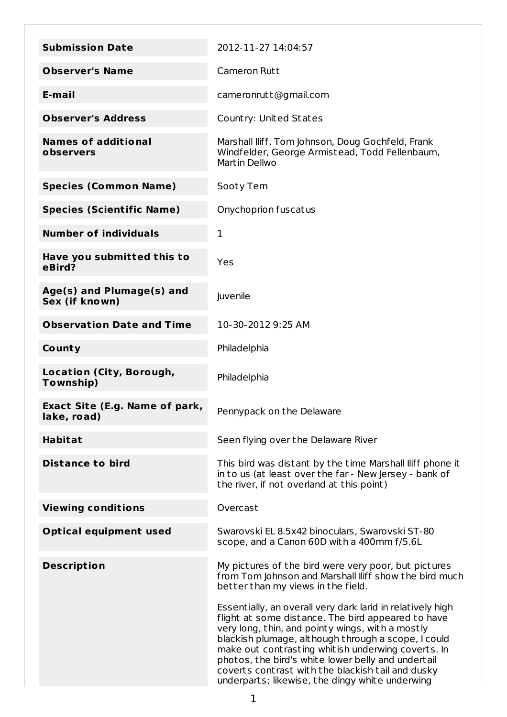| <b>Submission Date</b>                               | 2012-11-27 14:04:57                                                                                                                                                                                                                                                                                                                                                                                                                             |
|------------------------------------------------------|-------------------------------------------------------------------------------------------------------------------------------------------------------------------------------------------------------------------------------------------------------------------------------------------------------------------------------------------------------------------------------------------------------------------------------------------------|
| <b>Observer's Name</b>                               | <b>Cameron Rutt</b>                                                                                                                                                                                                                                                                                                                                                                                                                             |
| E-mail                                               | cameronrutt@gmail.com                                                                                                                                                                                                                                                                                                                                                                                                                           |
| <b>Observer's Address</b>                            | Country: United States                                                                                                                                                                                                                                                                                                                                                                                                                          |
| <b>Names of additional</b><br>observers              | Marshall Iliff, Tom Johnson, Doug Gochfeld, Frank<br>Windfelder, George Armistead, Todd Fellenbaum,<br>Martin Dellwo                                                                                                                                                                                                                                                                                                                            |
| <b>Species (Common Name)</b>                         | Sooty Tern                                                                                                                                                                                                                                                                                                                                                                                                                                      |
| <b>Species (Scientific Name)</b>                     | Onychoprion fuscatus                                                                                                                                                                                                                                                                                                                                                                                                                            |
| <b>Number of individuals</b>                         | 1                                                                                                                                                                                                                                                                                                                                                                                                                                               |
| Have you submitted this to<br>eBird?                 | Yes                                                                                                                                                                                                                                                                                                                                                                                                                                             |
| Age(s) and Plumage(s) and<br>Sex (if known)          | Juvenile                                                                                                                                                                                                                                                                                                                                                                                                                                        |
| <b>Observation Date and Time</b>                     | 10-30-2012 9:25 AM                                                                                                                                                                                                                                                                                                                                                                                                                              |
| County                                               | Philadelphia                                                                                                                                                                                                                                                                                                                                                                                                                                    |
| Location (City, Borough,<br>Township)                | Philadelphia                                                                                                                                                                                                                                                                                                                                                                                                                                    |
| <b>Exact Site (E.g. Name of park,</b><br>lake, road) | Pennypack on the Delaware                                                                                                                                                                                                                                                                                                                                                                                                                       |
| <b>Habitat</b>                                       | Seen flying over the Delaware River                                                                                                                                                                                                                                                                                                                                                                                                             |
| <b>Distance to bird</b>                              | This bird was distant by the time Marshall lliff phone it<br>in to us (at least over the far - New Jersey - bank of<br>the river, if not overland at this point)                                                                                                                                                                                                                                                                                |
| <b>Viewing conditions</b>                            | Overcast                                                                                                                                                                                                                                                                                                                                                                                                                                        |
| <b>Optical equipment used</b>                        | Swarovski EL 8.5x42 binoculars, Swarovski ST-80<br>scope, and a Canon 60D with a 400mm f/5.6L                                                                                                                                                                                                                                                                                                                                                   |
| <b>Description</b>                                   | My pictures of the bird were very poor, but pictures<br>from Tom Johnson and Marshall Iliff show the bird much<br>better than my views in the field.                                                                                                                                                                                                                                                                                            |
|                                                      | Essentially, an overall very dark larid in relatively high<br>flight at some distance. The bird appeared to have<br>very long, thin, and pointy wings, with a mostly<br>blackish plumage, although through a scope, I could<br>make out contrasting whitish underwing coverts. In<br>photos, the bird's white lower belly and undertail<br>coverts contrast with the blackish tail and dusky<br>underparts; likewise, the dingy white underwing |